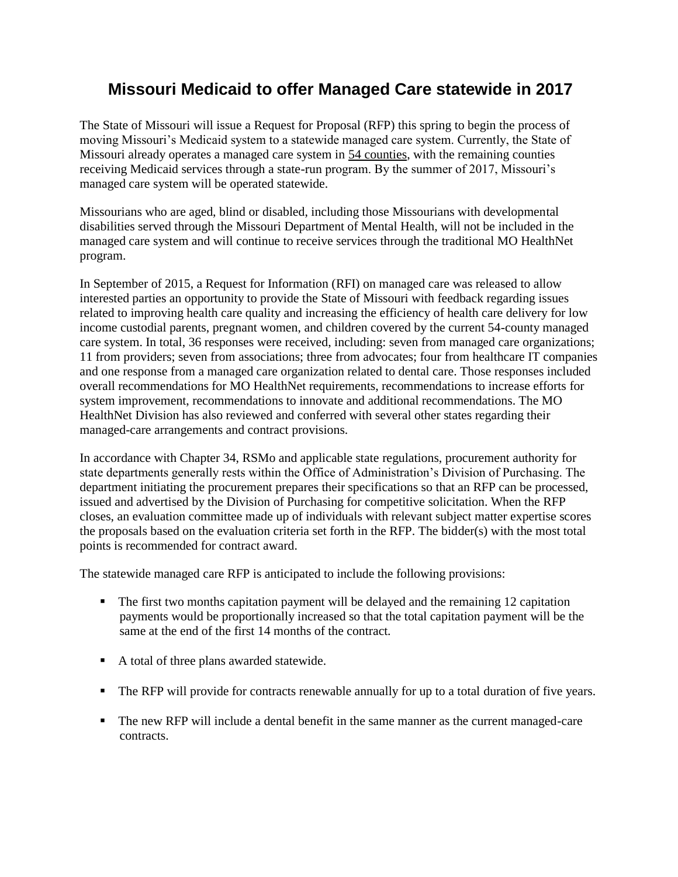# **Missouri Medicaid to offer Managed Care statewide in 2017**

The State of Missouri will issue a Request for Proposal (RFP) this spring to begin the process of moving Missouri's Medicaid system to a statewide managed care system. Currently, the State of Missouri already operates a managed care system in 54 counties, with the remaining counties receiving Medicaid services through a state-run program. By the summer of 2017, Missouri's managed care system will be operated statewide.

Missourians who are aged, blind or disabled, including those Missourians with developmental disabilities served through the Missouri Department of Mental Health, will not be included in the managed care system and will continue to receive services through the traditional MO HealthNet program.

In September of 2015, a Request for Information (RFI) on managed care was released to allow interested parties an opportunity to provide the State of Missouri with feedback regarding issues related to improving health care quality and increasing the efficiency of health care delivery for low income custodial parents, pregnant women, and children covered by the current 54-county managed care system. In total, 36 responses were received, including: seven from managed care organizations; 11 from providers; seven from associations; three from advocates; four from healthcare IT companies and one response from a managed care organization related to dental care. Those responses included overall recommendations for MO HealthNet requirements, recommendations to increase efforts for system improvement, recommendations to innovate and additional recommendations. The MO HealthNet Division has also reviewed and conferred with several other states regarding their managed-care arrangements and contract provisions.

In accordance with Chapter 34, RSMo and applicable state regulations, procurement authority for state departments generally rests within the Office of Administration's Division of Purchasing. The department initiating the procurement prepares their specifications so that an RFP can be processed, issued and advertised by the Division of Purchasing for competitive solicitation. When the RFP closes, an evaluation committee made up of individuals with relevant subject matter expertise scores the proposals based on the evaluation criteria set forth in the RFP. The bidder(s) with the most total points is recommended for contract award.

The statewide managed care RFP is anticipated to include the following provisions:

- The first two months capitation payment will be delayed and the remaining 12 capitation payments would be proportionally increased so that the total capitation payment will be the same at the end of the first 14 months of the contract.
- A total of three plans awarded statewide.
- The RFP will provide for contracts renewable annually for up to a total duration of five years.
- The new RFP will include a dental benefit in the same manner as the current managed-care contracts.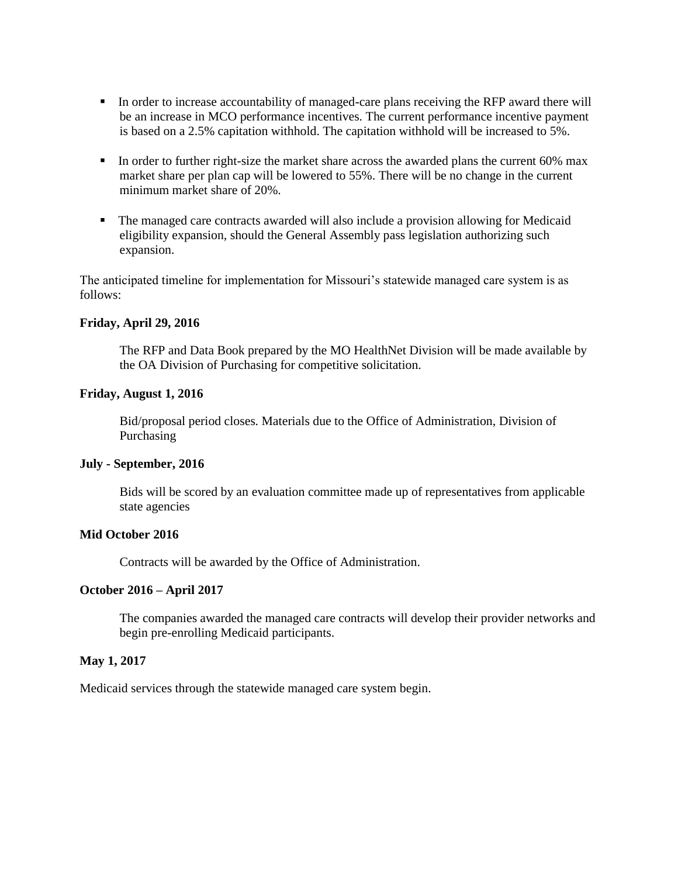- In order to increase accountability of managed-care plans receiving the RFP award there will be an increase in MCO performance incentives. The current performance incentive payment is based on a 2.5% capitation withhold. The capitation withhold will be increased to 5%.
- In order to further right-size the market share across the awarded plans the current 60% max market share per plan cap will be lowered to 55%. There will be no change in the current minimum market share of 20%.
- The managed care contracts awarded will also include a provision allowing for Medicaid eligibility expansion, should the General Assembly pass legislation authorizing such expansion.

The anticipated timeline for implementation for Missouri's statewide managed care system is as follows:

#### **Friday, April 29, 2016**

The RFP and Data Book prepared by the MO HealthNet Division will be made available by the OA Division of Purchasing for competitive solicitation.

#### **Friday, August 1, 2016**

Bid/proposal period closes. Materials due to the Office of Administration, Division of Purchasing

#### **July - September, 2016**

Bids will be scored by an evaluation committee made up of representatives from applicable state agencies

## **Mid October 2016**

Contracts will be awarded by the Office of Administration.

## **October 2016 – April 2017**

The companies awarded the managed care contracts will develop their provider networks and begin pre-enrolling Medicaid participants.

### **May 1, 2017**

Medicaid services through the statewide managed care system begin.